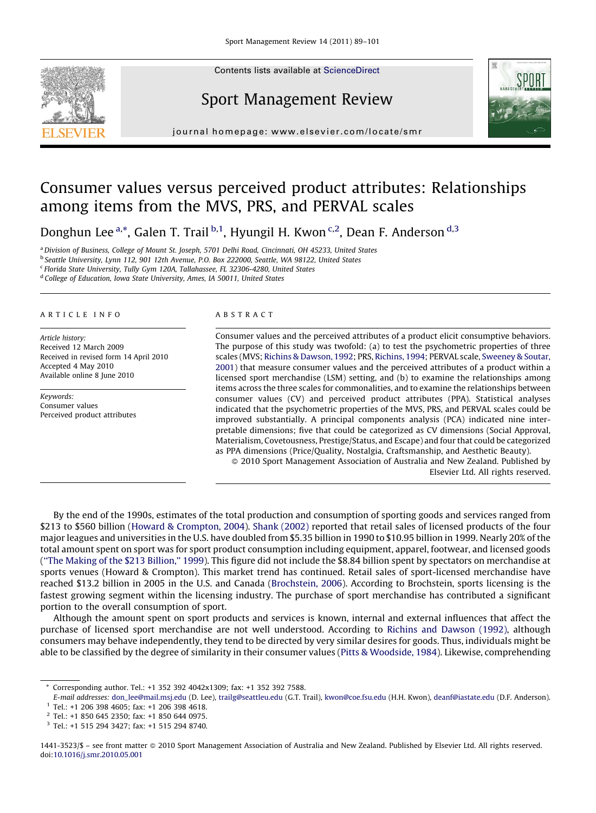Contents lists available at [ScienceDirect](http://www.sciencedirect.com/science/journal/14413523)



## Sport Management Review



journal homepage: www.elsevier.com/locate/smr

# Consumer values versus perceived product attributes: Relationships among items from the MVS, PRS, and PERVAL scales

Donghun Lee <sup>a,\*</sup>, Galen T. Trail <sup>b,1</sup>, Hyungil H. Kwon <sup>c,2</sup>, Dean F. Anderson <sup>d,3</sup>

a Division of Business, College of Mount St. Joseph, 5701 Delhi Road, Cincinnati, OH 45233, United States

<sup>b</sup> Seattle University, Lynn 112, 901 12th Avenue, P.O. Box 222000, Seattle, WA 98122, United States

<sup>c</sup> Florida State University, Tully Gym 120A, Tallahassee, FL 32306-4280, United States

<sup>d</sup> College of Education, Iowa State University, Ames, IA 50011, United States

#### ARTICLE INFO

Article history: Received 12 March 2009 Received in revised form 14 April 2010 Accepted 4 May 2010 Available online 8 June 2010

Keywords: Consumer values Perceived product attributes

#### ABSTRACT

Consumer values and the perceived attributes of a product elicit consumptive behaviors. The purpose of this study was twofold: (a) to test the psychometric properties of three scales (MVS; [Richins & Dawson, 1992;](#page--1-0) PRS, [Richins, 1994](#page--1-0); PERVAL scale, [Sweeney & Soutar,](#page--1-0) [2001](#page--1-0)) that measure consumer values and the perceived attributes of a product within a licensed sport merchandise (LSM) setting, and (b) to examine the relationships among items across the three scales for commonalities, and to examine the relationships between consumer values (CV) and perceived product attributes (PPA). Statistical analyses indicated that the psychometric properties of the MVS, PRS, and PERVAL scales could be improved substantially. A principal components analysis (PCA) indicated nine interpretable dimensions; five that could be categorized as CV dimensions (Social Approval, Materialism, Covetousness, Prestige/Status, and Escape) and four that could be categorized as PPA dimensions (Price/Quality, Nostalgia, Craftsmanship, and Aesthetic Beauty).

- 2010 Sport Management Association of Australia and New Zealand. Published by Elsevier Ltd. All rights reserved.

By the end of the 1990s, estimates of the total production and consumption of sporting goods and services ranged from \$213 to \$560 billion [\(Howard & Crompton, 2004\)](#page--1-0). [Shank \(2002\)](#page--1-0) reported that retail sales of licensed products of the four major leagues and universities in the U.S. have doubled from \$5.35 billion in 1990 to \$10.95 billion in 1999. Nearly 20% of the total amount spent on sport was for sport product consumption including equipment, apparel, footwear, and licensed goods ([''The Making of the \\$213 Billion,'' 1999](#page--1-0)). This figure did not include the \$8.84 billion spent by spectators on merchandise at sports venues (Howard & Crompton). This market trend has continued. Retail sales of sport-licensed merchandise have reached \$13.2 billion in 2005 in the U.S. and Canada [\(Brochstein, 2006\)](#page--1-0). According to Brochstein, sports licensing is the fastest growing segment within the licensing industry. The purchase of sport merchandise has contributed a significant portion to the overall consumption of sport.

Although the amount spent on sport products and services is known, internal and external influences that affect the purchase of licensed sport merchandise are not well understood. According to [Richins and Dawson \(1992\)](#page--1-0), although consumers may behave independently, they tend to be directed by very similar desires for goods. Thus, individuals might be able to be classified by the degree of similarity in their consumer values [\(Pitts & Woodside, 1984](#page--1-0)). Likewise, comprehending

Corresponding author. Tel.: +1 352 392 4042x1309; fax: +1 352 392 7588.

E-mail addresses: [don\\_lee@mail.msj.edu](mailto:don_lee@mail.msj.edu) (D. Lee), [trailg@seattleu.edu](mailto:trailg@seattleu.edu) (G.T. Trail), [kwon@coe.fsu.edu](mailto:kwon@coe.fsu.edu) (H.H. Kwon), [deanf@iastate.edu](mailto:deanf@iastate.edu) (D.F. Anderson). <sup>1</sup> Tel.: +1 206 398 4605; fax: +1 206 398 4618.

<sup>2</sup> Tel.: +1 850 645 2350; fax: +1 850 644 0975.

<sup>3</sup> Tel.: +1 515 294 3427; fax: +1 515 294 8740.

<sup>1441-3523/\$ –</sup> see front matter © 2010 Sport Management Association of Australia and New Zealand. Published by Elsevier Ltd. All rights reserved. doi:[10.1016/j.smr.2010.05.001](http://dx.doi.org/10.1016/j.smr.2010.05.001)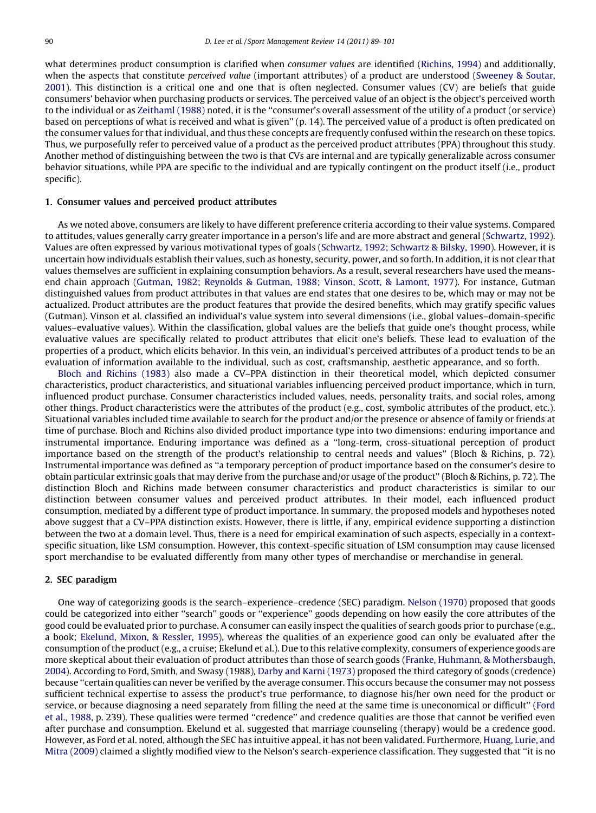what determines product consumption is clarified when *consumer values* are identified ([Richins, 1994\)](#page--1-0) and additionally, when the aspects that constitute *perceived value* (important attributes) of a product are understood [\(Sweeney & Soutar,](#page--1-0) [2001](#page--1-0)). This distinction is a critical one and one that is often neglected. Consumer values (CV) are beliefs that guide consumers' behavior when purchasing products or services. The perceived value of an object is the object's perceived worth to the individual or as [Zeithaml \(1988\)](#page--1-0) noted, it is the ''consumer's overall assessment of the utility of a product (or service) based on perceptions of what is received and what is given'' (p. 14). The perceived value of a product is often predicated on the consumer values for that individual, and thus these concepts are frequently confused within the research on these topics. Thus, we purposefully refer to perceived value of a product as the perceived product attributes (PPA) throughout this study. Another method of distinguishing between the two is that CVs are internal and are typically generalizable across consumer behavior situations, while PPA are specific to the individual and are typically contingent on the product itself (i.e., product specific).

### 1. Consumer values and perceived product attributes

As we noted above, consumers are likely to have different preference criteria according to their value systems. Compared to attitudes, values generally carry greater importance in a person's life and are more abstract and general [\(Schwartz, 1992](#page--1-0)). Values are often expressed by various motivational types of goals ([Schwartz, 1992; Schwartz & Bilsky, 1990](#page--1-0)). However, it is uncertain how individuals establish their values, such as honesty, security, power, and so forth. In addition, it is not clear that values themselves are sufficient in explaining consumption behaviors. As a result, several researchers have used the meansend chain approach ([Gutman, 1982; Reynolds & Gutman, 1988; Vinson, Scott, & Lamont, 1977](#page--1-0)). For instance, Gutman distinguished values from product attributes in that values are end states that one desires to be, which may or may not be actualized. Product attributes are the product features that provide the desired benefits, which may gratify specific values (Gutman). Vinson et al. classified an individual's value system into several dimensions (i.e., global values–domain-specific values–evaluative values). Within the classification, global values are the beliefs that guide one's thought process, while evaluative values are specifically related to product attributes that elicit one's beliefs. These lead to evaluation of the properties of a product, which elicits behavior. In this vein, an individual's perceived attributes of a product tends to be an evaluation of information available to the individual, such as cost, craftsmanship, aesthetic appearance, and so forth.

[Bloch and Richins \(1983\)](#page--1-0) also made a CV–PPA distinction in their theoretical model, which depicted consumer characteristics, product characteristics, and situational variables influencing perceived product importance, which in turn, influenced product purchase. Consumer characteristics included values, needs, personality traits, and social roles, among other things. Product characteristics were the attributes of the product (e.g., cost, symbolic attributes of the product, etc.). Situational variables included time available to search for the product and/or the presence or absence of family or friends at time of purchase. Bloch and Richins also divided product importance type into two dimensions: enduring importance and instrumental importance. Enduring importance was defined as a ''long-term, cross-situational perception of product importance based on the strength of the product's relationship to central needs and values'' (Bloch & Richins, p. 72). Instrumental importance was defined as ''a temporary perception of product importance based on the consumer's desire to obtain particular extrinsic goals that may derive from the purchase and/or usage of the product'' (Bloch & Richins, p. 72). The distinction Bloch and Richins made between consumer characteristics and product characteristics is similar to our distinction between consumer values and perceived product attributes. In their model, each influenced product consumption, mediated by a different type of product importance. In summary, the proposed models and hypotheses noted above suggest that a CV–PPA distinction exists. However, there is little, if any, empirical evidence supporting a distinction between the two at a domain level. Thus, there is a need for empirical examination of such aspects, especially in a contextspecific situation, like LSM consumption. However, this context-specific situation of LSM consumption may cause licensed sport merchandise to be evaluated differently from many other types of merchandise or merchandise in general.

## 2. SEC paradigm

One way of categorizing goods is the search–experience–credence (SEC) paradigm. [Nelson \(1970\)](#page--1-0) proposed that goods could be categorized into either ''search'' goods or ''experience'' goods depending on how easily the core attributes of the good could be evaluated prior to purchase. A consumer can easily inspect the qualities of search goods prior to purchase (e.g., a book; [Ekelund, Mixon, & Ressler, 1995\)](#page--1-0), whereas the qualities of an experience good can only be evaluated after the consumption of the product (e.g., a cruise; Ekelund et al.). Due to this relative complexity, consumers of experience goods are more skeptical about their evaluation of product attributes than those of search goods ([Franke, Huhmann, & Mothersbaugh,](#page--1-0) [2004](#page--1-0)). According to Ford, Smith, and Swasy (1988), [Darby and Karni \(1973\)](#page--1-0) proposed the third category of goods (credence) because ''certain qualities can never be verified by the average consumer. This occurs because the consumer may not possess sufficient technical expertise to assess the product's true performance, to diagnose his/her own need for the product or service, or because diagnosing a need separately from filling the need at the same time is uneconomical or difficult'' [\(Ford](#page--1-0) [et al., 1988](#page--1-0), p. 239). These qualities were termed ''credence'' and credence qualities are those that cannot be verified even after purchase and consumption. Ekelund et al. suggested that marriage counseling (therapy) would be a credence good. However, as Ford et al. noted, although the SEC has intuitive appeal, it has not been validated. Furthermore, [Huang, Lurie, and](#page--1-0) [Mitra \(2009\)](#page--1-0) claimed a slightly modified view to the Nelson's search-experience classification. They suggested that ''it is no